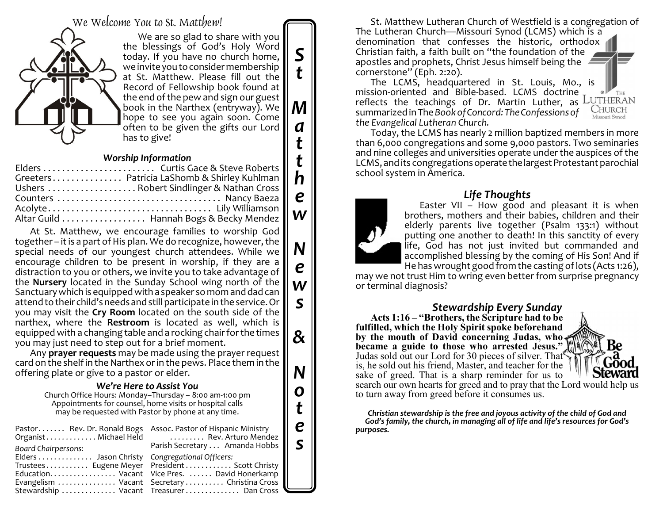We Welcome You to St. Matthew!



We are so glad to share with you the blessings of God's Holy Word today. If you have no church home, we invite you to consider membership at St. Matthew. Please fill out the Record of Fellowship book found at the end of the pew and sign our guest book in the Narthex (entryway). We hope to see you again soon. Come often to be given the gifts our Lord has to give!

*S*

*t*

*M*

*a*

*t*

*t h*

*e*

*w*

*N*

*e*

*w*

*s*

*&*

*N*

*o*

*t*

*e s*

#### *Worship Information*

At St. Matthew, we encourage families to worship God together – it is a part of His plan. We do recognize, however, the special needs of our youngest church attendees. While we encourage children to be present in worship, if they are a distraction to you or others, we invite you to take advantage of the **Nursery** located in the Sunday School wing north of the Sanctuarywhich is equipped with a speaker so mom and dad can attend to their child's needs and still participate in the service. Or you may visit the **Cry Room** located on the south side of the narthex, where the **Restroom** is located as well, which is equipped with a changing table and a rocking chair for the times you may just need to step out for a brief moment.

Any **prayer requests** may be made using the prayer request card on the shelf in the Narthex orin the pews. Place them in the offering plate or give to a pastor or elder.

### *We're Here to Assist You*

Church Office Hours: Monday–Thursday – 8:00 am-1:00 pm Appointments for counsel, home visits or hospital calls may be requested with Pastor by phone at any time.

| Pastor Rev. Dr. Ronald Bogs Assoc. Pastor of Hispanic Ministry<br>Board Chairpersons: | Organist Michael Held  Rev. Arturo Mendez<br>Parish Secretary Amanda Hobbs                       |
|---------------------------------------------------------------------------------------|--------------------------------------------------------------------------------------------------|
| Elders  Jason Christy Congregational Officers:                                        | Trustees Eugene Meyer President Scott Christy   <br>Education Vacant Vice Pres.  David Honerkamp |
|                                                                                       | Evangelism  Vacant Secretary  Christina Cross<br>Stewardship  Vacant Treasurer  Dan Cross        |

St. Matthew Lutheran Church of Westfield is a congregation of The Lutheran Church—Missouri Synod (LCMS) which is a denomination that confesses the historic, orthodox Christian faith, a faith built on "the foundation of the apostles and prophets, Christ Jesus himself being the cornerstone" (Eph. 2:20).

The LCMS, headquartered in St. Louis, Mo., is mission-oriented and Bible-based. LCMS doctrine THE reflects the teachings of Dr. Martin Luther, as LUTHERAN **CHURCH** summarized in The *Book of Concord: The Confessions of the Evangelical Lutheran Church.*

Today, the LCMS has nearly 2 million baptized members in more than 6,000 congregations and some 9,000 pastors. Two seminaries and nine colleges and universities operate under the auspices of the LCMS, and its congregations operate the largest Protestant parochial school system in America.

# *Life Thoughts*



may we not trust Him to wring even better from surprise pregnancy or terminal diagnosis?

*Stewardship Every Sunday* **Acts 1:16 – "Brothers, the Scripture had to be fulfilled, which the Holy Spirit spoke beforehand by the mouth of David concerning Judas, who became a guide to those who arrested Jesus."** Judas sold out our Lord for 30 pieces of silver. That is, he sold out his friend, Master, and teacher for the sake of greed. That is a sharp reminder for us to search our own hearts for greed and to pray that the Lord would help us to turn away from greed before it consumes us.

*Christian stewardship is the free and joyous activity of the child of God and God's family, the church, in managing all of life and life's resources for God's purposes.*

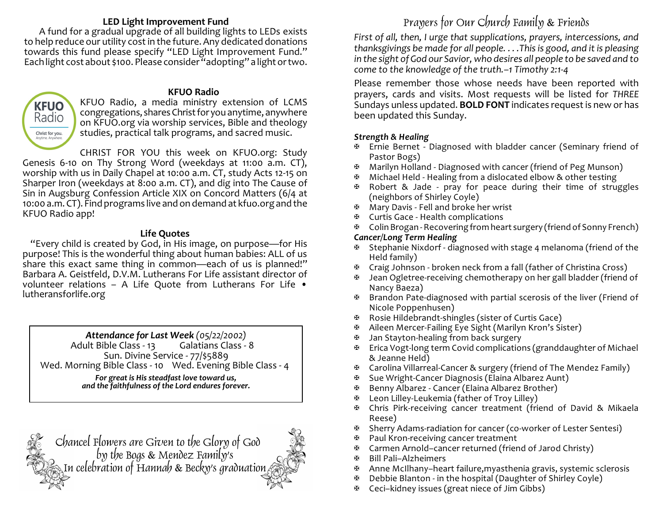## **LED Light Improvement Fund**

A fund for a gradual upgrade of all building lights to LEDs exists to help reduce our utility cost in the future. Any dedicated donations towards this fund please specify "LED Light Improvement Fund." Each light cost about \$100. Please consider "adopting" a light ortwo.

**KFUO** Radio Christ for you.

#### **KFUO Radio**

KFUO Radio, a media ministry extension of LCMS congregations, shares Christ for you anytime, anywhere on KFUO.org via worship services, Bible and theology studies, practical talk programs, and sacred music.

CHRIST FOR YOU this week on KFUO.org: Study

Genesis 6-10 on Thy Strong Word (weekdays at 11:00 a.m. CT), worship with us in Daily Chapel at 10:00 a.m. CT, study Acts 12-15 on Sharper Iron (weekdays at 8:00 a.m. CT), and dig into The Cause of Sin in Augsburg Confession Article XIX on Concord Matters (6/4 at 10:00 a.m. CT). Find programs live and on demand at kfuo.org and the KFUO Radio app!

### **Life Quotes**

"Every child is created by God, in His image, on purpose—for His purpose! This is the wonderful thing about human babies: ALL of us share this exact same thing in common—each of us is planned!" Barbara A. Geistfeld, D.V.M. Lutherans For Life assistant director of volunteer relations – A Life Quote from Lutherans For Life • lutheransforlife.org

*Attendance for Last Week (05/22/2002)* Adult Bible Class - 13 Sun. Divine Service - 77/\$5889 Wed. Morning Bible Class - 10 Wed. Evening Bible Class - 4 *For great is His steadfast love toward us, and the faithfulness of the Lord endures forever.*

Chancel Flowers are Given to the Glory of God by the Bogs & Mendez Family's In celebration of Hannah & Becky's graduation

# Prayers for Our Church Family & Friends

*First of all, then, I urge that supplications, prayers, intercessions, and thanksgivings be made for all people. . . .This is good, and it is pleasing in the sight of God our Savior, who desires all people to be saved and to come to the knowledge of the truth.–1 Timothy 2:1-4*

Please remember those whose needs have been reported with prayers, cards and visits. Most requests will be listed for *THREE* Sundays unless updated. **BOLD FONT** indicates request is new or has been updated this Sunday.

### *Strength & Healing*

- a Ernie Bernet Diagnosed with bladder cancer (Seminary friend of Pastor Bogs)
- 田 Marilyn Holland Diagnosed with cancer (friend of Peg Munson)
- a Michael Held Healing from a dislocated elbow & other testing
- a Robert & Jade pray for peace during their time of struggles (neighbors of Shirley Coyle)
- $\mathfrak{B}$  Mary Davis Fell and broke her wrist
- $\mathfrak{B}$  Curtis Gace Health complications
- a Colin Brogan -Recovering from heart surgery (friend of Sonny French)

### *Cancer/Long Term Healing*

- $\mathfrak{B}$  Stephanie Nixdorf diagnosed with stage 4 melanoma (friend of the Held family)
- $\mathfrak{B}$  Craig Johnson broken neck from a fall (father of Christina Cross)
- Jean Ogletree-receiving chemotherapy on her gall bladder (friend of Nancy Baeza)
- $\mathfrak{B}$  Brandon Pate-diagnosed with partial scerosis of the liver (Friend of Nicole Poppenhusen)
- a Rosie Hildebrandt-shingles (sister of Curtis Gace)
- a Aileen Mercer-Failing Eye Sight (Marilyn Kron's Sister)
- Jan Stayton-healing from back surgery
- a Erica Vogt-long term Covid complications (granddaughter of Michael & Jeanne Held)
- $\mathfrak{B}$  Carolina Villarreal-Cancer & surgery (friend of The Mendez Family)
- ⊕ Sue Wright-Cancer Diagnosis (Elaina Albarez Aunt)
- a Benny Albarez Cancer (Elaina Albarez Brother)
- $\mathfrak{B}$  Leon Lilley-Leukemia (father of Troy Lilley)
- a Chris Pirk-receiving cancer treatment (friend of David & Mikaela Reese)
- a Sherry Adams-radiation for cancer (co-worker of Lester Sentesi)
- a Paul Kron-receiving cancer treatment
- a Carmen Arnold–cancer returned (friend of Jarod Christy)
- a Bill Pali–Alzheimers
- $\mathfrak{B}$  Anne McIlhany–heart failure, myasthenia gravis, systemic sclerosis
- $\mathfrak{B}$  Debbie Blanton in the hospital (Daughter of Shirley Coyle)
- a Ceci–kidney issues (great niece of Jim Gibbs)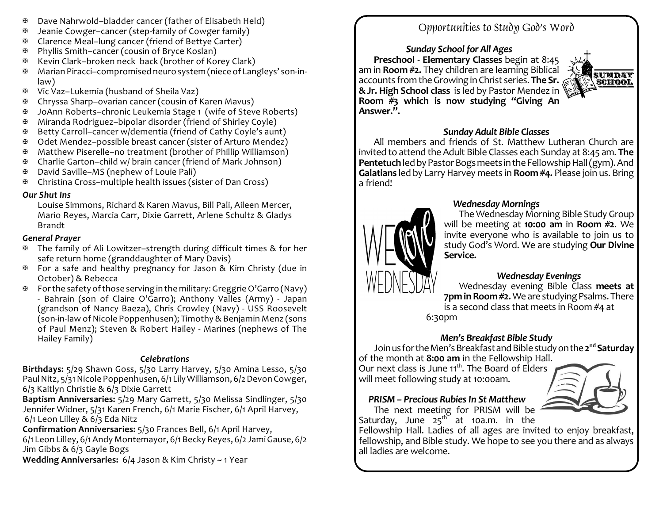- $\mathfrak{B}$  Dave Nahrwold–bladder cancer (father of Elisabeth Held)
- $\mathfrak{B}$  Jeanie Cowger–cancer (step-family of Cowger family)
- a Clarence Meal–lung cancer (friend of Bettye Carter)
- a Phyllis Smith–cancer (cousin of Bryce Koslan)
- a Kevin Clark–broken neck back (brother of Korey Clark)
- a Marian Piracci–compromised neuro system (niece of Langleys' son-inlaw)
- a Vic Vaz–Lukemia (husband of Sheila Vaz)
- a Chryssa Sharp–ovarian cancer (cousin of Karen Mavus)
- a JoAnn Roberts–chronic Leukemia Stage 1 (wife of Steve Roberts)
- $\mathfrak{B}$  Miranda Rodriguez–bipolar disorder (friend of Shirley Coyle)
- a Betty Carroll–cancer w/dementia (friend of Cathy Coyle's aunt)
- a Odet Mendez–possible breast cancer (sister of Arturo Mendez)
- a Matthew Piserelle–no treatment (brother of Phillip Williamson)
- $\mathfrak{B}$  Charlie Garton–child w/ brain cancer (friend of Mark Johnson)
- a David Saville–MS (nephew of Louie Pali)
- a Christina Cross–multiple health issues (sister of Dan Cross)

## *Our Shut Ins*

Louise Simmons, Richard & Karen Mavus, Bill Pali, Aileen Mercer, Mario Reyes, Marcia Carr, Dixie Garrett, Arlene Schultz & Gladys Brandt

## *General Prayer*

- a The family of Ali Lowitzer–strength during difficult times & for her safe return home (granddaughter of Mary Davis)
- $\mathbb F$  For a safe and healthy pregnancy for Jason & Kim Christy (due in October) & Rebecca
- $\mathbb{F}$  For the safety of those serving in the military: Greggrie O'Garro (Navy) - Bahrain (son of Claire O'Garro); Anthony Valles (Army) - Japan (grandson of Nancy Baeza), Chris Crowley (Navy) - USS Roosevelt (son-in-law of Nicole Poppenhusen); Timothy & Benjamin Menz (sons of Paul Menz); Steven & Robert Hailey - Marines (nephews of The Hailey Family)

# *Celebrations*

**Birthdays:** 5/29 Shawn Goss, 5/30 Larry Harvey, 5/30 Amina Lesso, 5/30 Paul Nitz, 5/31 Nicole Poppenhusen, 6/1 Lily Williamson, 6/2 Devon Cowger, 6/3 Kaitlyn Christie & 6/3 Dixie Garrett

**Baptism Anniversaries:** 5/29 Mary Garrett, 5/30 Melissa Sindlinger, 5/30 Jennifer Widner, 5/31 Karen French, 6/1 Marie Fischer, 6/1 April Harvey, 6/1 Leon Lilley & 6/3 Eda Nitz

**Confirmation Anniversaries:** 5/30 Frances Bell, 6/1 April Harvey,

6/1 Leon Lilley, 6/1Andy Montemayor, 6/1BeckyReyes, 6/2 JamiGause, 6/2 Jim Gibbs & 6/3 Gayle Bogs

**Wedding Anniversaries:** 6/4 Jason & Kim Christy ~ 1 Year

# Opportunities to Study God's Word

*Sunday School for All Ages* **Preschool - Elementary Classes** begin at 8:45 am in **Room #2.** They children are learning Biblical accounts fromtheGrowinginChrist series. **The Sr. &Jr. High School class** is led by Pastor Mendez in **Room #3 which is now studying "Giving An Answer.".**



# *Sunday Adult Bible Classes*

All members and friends of St. Matthew Lutheran Church are invited to attend the Adult Bible Classes each Sunday at 8:45 am. **The Pentetuch** led by Pastor Bogs meets in the Fellowship Hall (gym). And **Galatians** led by Larry Harvey meets in **Room #4.** Please join us. Bring a friend!



# *Wednesday Mornings*

The Wednesday Morning Bible Study Group will be meeting at **10:00 am** in **Room #2**. We invite everyone who is available to join us to study God's Word. We are studying **Our Divine Service.**

# *Wednesday Evenings*

Wednesday evening Bible Class **meets at 7pm in Room #2.** We are studying Psalms. There is a second class that meets in Room #4 at 6:30pm

# *Men's Breakfast Bible Study*

JoinusfortheMen'sBreakfastandBiblestudyonthe**2 nd Saturday** of the month at **8:00 am** in the Fellowship Hall.

Our next class is June 11<sup>th</sup>. The Board of Elders will meet following study at 10:00am.



# *PRISM – Precious RubiesIn St Matthew*

The next meeting for PRISM will be Saturday, June  $25^{\text{th}}$  at 10a.m. in the

Fellowship Hall. Ladies of all ages are invited to enjoy breakfast, fellowship, and Bible study. We hope to see you there and as always all ladies are welcome.